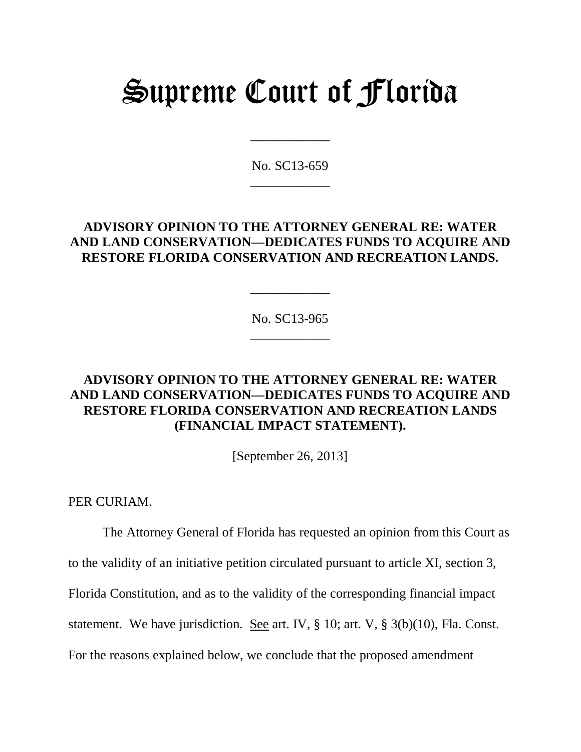# Supreme Court of Florida

No. SC13-659 \_\_\_\_\_\_\_\_\_\_\_\_

\_\_\_\_\_\_\_\_\_\_\_\_

## **ADVISORY OPINION TO THE ATTORNEY GENERAL RE: WATER AND LAND CONSERVATION—DEDICATES FUNDS TO ACQUIRE AND RESTORE FLORIDA CONSERVATION AND RECREATION LANDS.**

No. SC13-965 \_\_\_\_\_\_\_\_\_\_\_\_

\_\_\_\_\_\_\_\_\_\_\_\_

# **ADVISORY OPINION TO THE ATTORNEY GENERAL RE: WATER AND LAND CONSERVATION—DEDICATES FUNDS TO ACQUIRE AND RESTORE FLORIDA CONSERVATION AND RECREATION LANDS (FINANCIAL IMPACT STATEMENT).**

[September 26, 2013]

PER CURIAM.

The Attorney General of Florida has requested an opinion from this Court as to the validity of an initiative petition circulated pursuant to article XI, section 3, Florida Constitution, and as to the validity of the corresponding financial impact statement. We have jurisdiction. See art. IV,  $\S 10$ ; art. V,  $\S 3(b)(10)$ , Fla. Const. For the reasons explained below, we conclude that the proposed amendment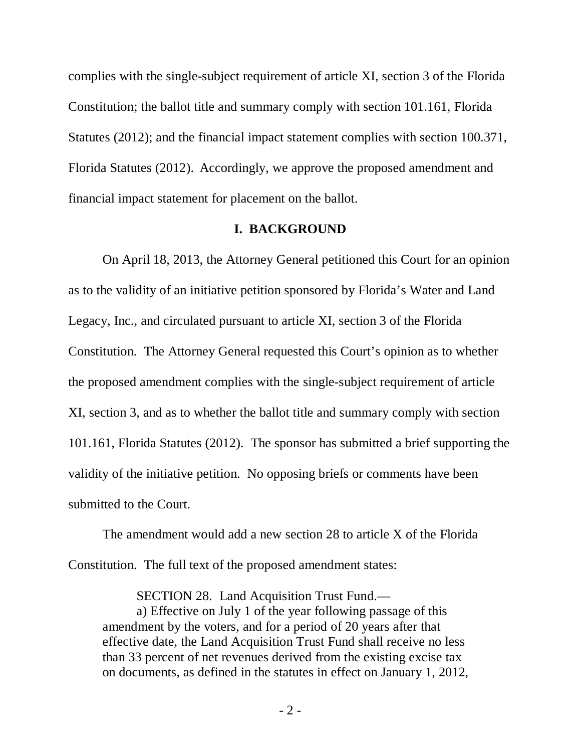complies with the single-subject requirement of article XI, section 3 of the Florida Constitution; the ballot title and summary comply with section 101.161, Florida Statutes (2012); and the financial impact statement complies with section 100.371, Florida Statutes (2012). Accordingly, we approve the proposed amendment and financial impact statement for placement on the ballot.

#### **I. BACKGROUND**

On April 18, 2013, the Attorney General petitioned this Court for an opinion as to the validity of an initiative petition sponsored by Florida's Water and Land Legacy, Inc., and circulated pursuant to article XI, section 3 of the Florida Constitution. The Attorney General requested this Court's opinion as to whether the proposed amendment complies with the single-subject requirement of article XI, section 3, and as to whether the ballot title and summary comply with section 101.161, Florida Statutes (2012). The sponsor has submitted a brief supporting the validity of the initiative petition. No opposing briefs or comments have been submitted to the Court.

The amendment would add a new section 28 to article X of the Florida Constitution. The full text of the proposed amendment states:

SECTION 28. Land Acquisition Trust Fund.—

a) Effective on July 1 of the year following passage of this amendment by the voters, and for a period of 20 years after that effective date, the Land Acquisition Trust Fund shall receive no less than 33 percent of net revenues derived from the existing excise tax on documents, as defined in the statutes in effect on January 1, 2012,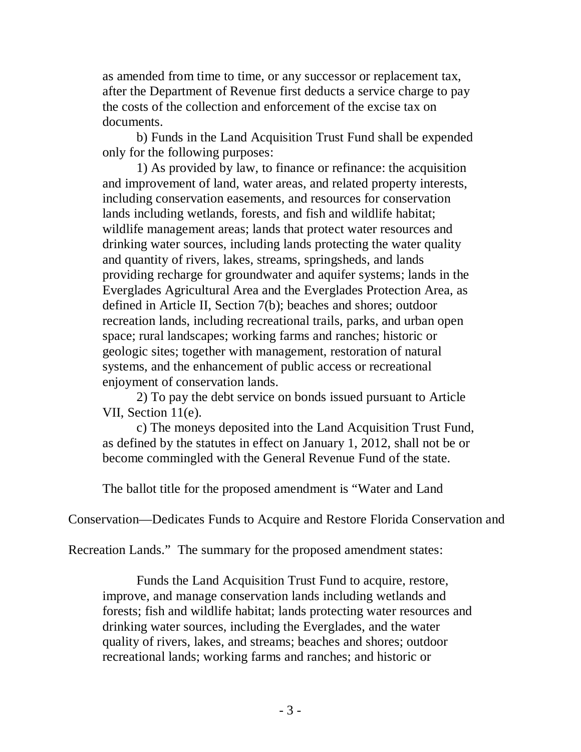as amended from time to time, or any successor or replacement tax, after the Department of Revenue first deducts a service charge to pay the costs of the collection and enforcement of the excise tax on documents.

b) Funds in the Land Acquisition Trust Fund shall be expended only for the following purposes:

1) As provided by law, to finance or refinance: the acquisition and improvement of land, water areas, and related property interests, including conservation easements, and resources for conservation lands including wetlands, forests, and fish and wildlife habitat; wildlife management areas; lands that protect water resources and drinking water sources, including lands protecting the water quality and quantity of rivers, lakes, streams, springsheds, and lands providing recharge for groundwater and aquifer systems; lands in the Everglades Agricultural Area and the Everglades Protection Area, as defined in Article II, Section 7(b); beaches and shores; outdoor recreation lands, including recreational trails, parks, and urban open space; rural landscapes; working farms and ranches; historic or geologic sites; together with management, restoration of natural systems, and the enhancement of public access or recreational enjoyment of conservation lands.

2) To pay the debt service on bonds issued pursuant to Article VII, Section 11(e).

c) The moneys deposited into the Land Acquisition Trust Fund, as defined by the statutes in effect on January 1, 2012, shall not be or become commingled with the General Revenue Fund of the state.

The ballot title for the proposed amendment is "Water and Land

Conservation—Dedicates Funds to Acquire and Restore Florida Conservation and

Recreation Lands." The summary for the proposed amendment states:

Funds the Land Acquisition Trust Fund to acquire, restore, improve, and manage conservation lands including wetlands and forests; fish and wildlife habitat; lands protecting water resources and drinking water sources, including the Everglades, and the water quality of rivers, lakes, and streams; beaches and shores; outdoor recreational lands; working farms and ranches; and historic or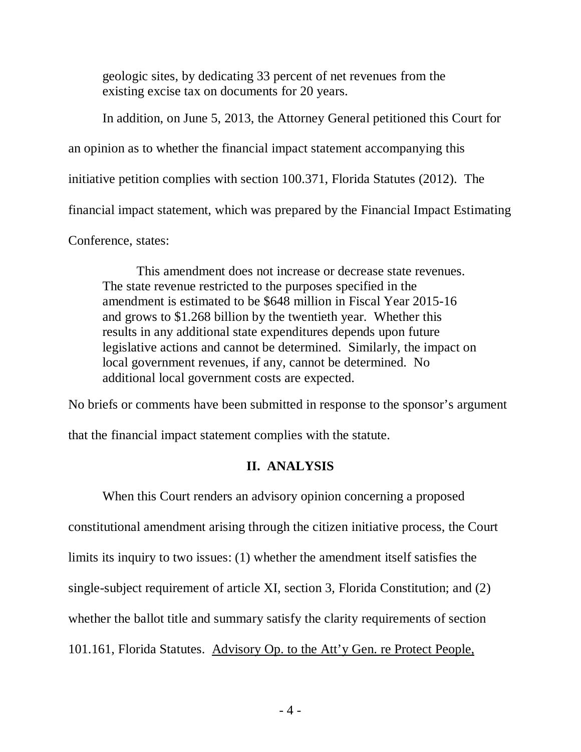geologic sites, by dedicating 33 percent of net revenues from the existing excise tax on documents for 20 years.

In addition, on June 5, 2013, the Attorney General petitioned this Court for an opinion as to whether the financial impact statement accompanying this initiative petition complies with section 100.371, Florida Statutes (2012). The financial impact statement, which was prepared by the Financial Impact Estimating Conference, states:

This amendment does not increase or decrease state revenues. The state revenue restricted to the purposes specified in the amendment is estimated to be \$648 million in Fiscal Year 2015-16 and grows to \$1.268 billion by the twentieth year. Whether this results in any additional state expenditures depends upon future legislative actions and cannot be determined. Similarly, the impact on local government revenues, if any, cannot be determined. No additional local government costs are expected.

No briefs or comments have been submitted in response to the sponsor's argument

that the financial impact statement complies with the statute.

## **II. ANALYSIS**

When this Court renders an advisory opinion concerning a proposed constitutional amendment arising through the citizen initiative process, the Court limits its inquiry to two issues: (1) whether the amendment itself satisfies the single-subject requirement of article XI, section 3, Florida Constitution; and (2) whether the ballot title and summary satisfy the clarity requirements of section 101.161, Florida Statutes. Advisory Op. to the Att'y Gen. re Protect People,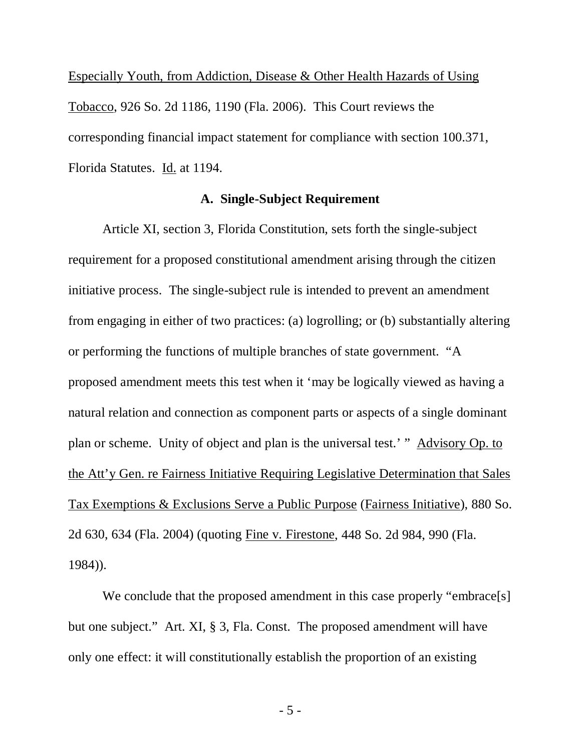Especially Youth, from Addiction, Disease & Other Health Hazards of Using Tobacco, 926 So. 2d 1186, 1190 (Fla. 2006). This Court reviews the corresponding financial impact statement for compliance with section 100.371, Florida Statutes. Id. at 1194.

#### **A. Single-Subject Requirement**

Article XI, section 3, Florida Constitution, sets forth the single-subject requirement for a proposed constitutional amendment arising through the citizen initiative process. The single-subject rule is intended to prevent an amendment from engaging in either of two practices: (a) logrolling; or (b) substantially altering or performing the functions of multiple branches of state government. "A proposed amendment meets this test when it 'may be logically viewed as having a natural relation and connection as component parts or aspects of a single dominant plan or scheme. Unity of object and plan is the universal test.' " Advisory Op. to the Att'y Gen. re Fairness Initiative Requiring Legislative Determination that Sales Tax Exemptions & Exclusions Serve a Public Purpose (Fairness Initiative), 880 So. 2d 630, 634 (Fla. 2004) (quoting Fine v. Firestone, 448 So. 2d 984, 990 (Fla. 1984)).

We conclude that the proposed amendment in this case properly "embrace[s] but one subject." Art. XI, § 3, Fla. Const. The proposed amendment will have only one effect: it will constitutionally establish the proportion of an existing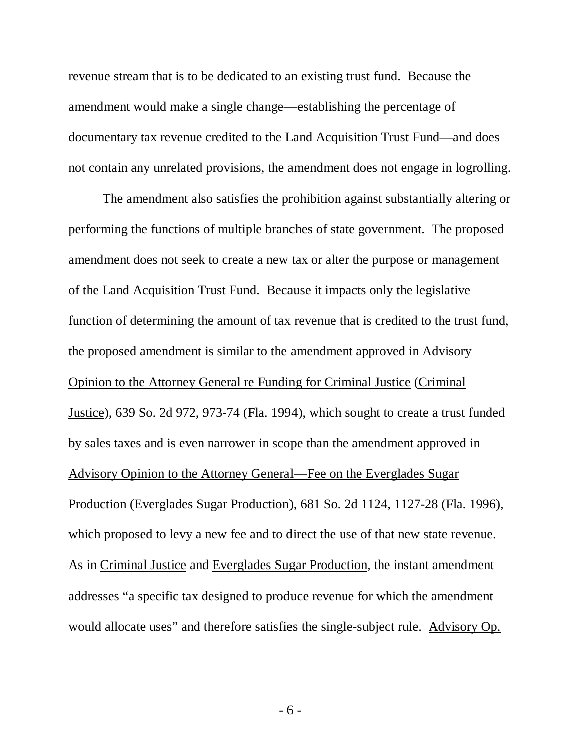revenue stream that is to be dedicated to an existing trust fund. Because the amendment would make a single change—establishing the percentage of documentary tax revenue credited to the Land Acquisition Trust Fund—and does not contain any unrelated provisions, the amendment does not engage in logrolling.

The amendment also satisfies the prohibition against substantially altering or performing the functions of multiple branches of state government. The proposed amendment does not seek to create a new tax or alter the purpose or management of the Land Acquisition Trust Fund. Because it impacts only the legislative function of determining the amount of tax revenue that is credited to the trust fund, the proposed amendment is similar to the amendment approved in Advisory Opinion to the Attorney General re Funding for Criminal Justice (Criminal Justice), 639 So. 2d 972, 973-74 (Fla. 1994), which sought to create a trust funded by sales taxes and is even narrower in scope than the amendment approved in Advisory Opinion to the Attorney General—Fee on the Everglades Sugar Production (Everglades Sugar Production), 681 So. 2d 1124, 1127-28 (Fla. 1996), which proposed to levy a new fee and to direct the use of that new state revenue. As in Criminal Justice and Everglades Sugar Production, the instant amendment addresses "a specific tax designed to produce revenue for which the amendment would allocate uses" and therefore satisfies the single-subject rule. Advisory Op.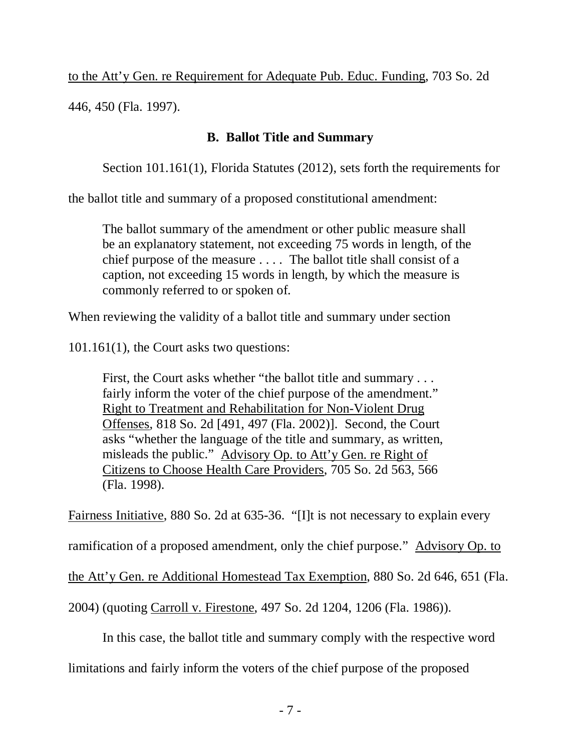to the Att'y Gen. re Requirement for Adequate Pub. Educ. Funding, 703 So. 2d

446, 450 (Fla. 1997).

# **B. Ballot Title and Summary**

Section 101.161(1), Florida Statutes (2012), sets forth the requirements for

the ballot title and summary of a proposed constitutional amendment:

The ballot summary of the amendment or other public measure shall be an explanatory statement, not exceeding 75 words in length, of the chief purpose of the measure . . . . The ballot title shall consist of a caption, not exceeding 15 words in length, by which the measure is commonly referred to or spoken of.

When reviewing the validity of a ballot title and summary under section

101.161(1), the Court asks two questions:

First, the Court asks whether "the ballot title and summary . . . fairly inform the voter of the chief purpose of the amendment." Right to Treatment and Rehabilitation for Non-Violent Drug Offenses, 818 So. 2d [491, 497 (Fla. 2002)]. Second, the Court asks "whether the language of the title and summary, as written, misleads the public." Advisory Op. to Att'y Gen. re Right of Citizens to Choose Health Care Providers, 705 So. 2d 563, 566 (Fla. 1998).

Fairness Initiative, 880 So. 2d at 635-36. "[I]t is not necessary to explain every

ramification of a proposed amendment, only the chief purpose." Advisory Op. to

the Att'y Gen. re Additional Homestead Tax Exemption, 880 So. 2d 646, 651 (Fla.

2004) (quoting Carroll v. Firestone, 497 So. 2d 1204, 1206 (Fla. 1986)).

In this case, the ballot title and summary comply with the respective word

limitations and fairly inform the voters of the chief purpose of the proposed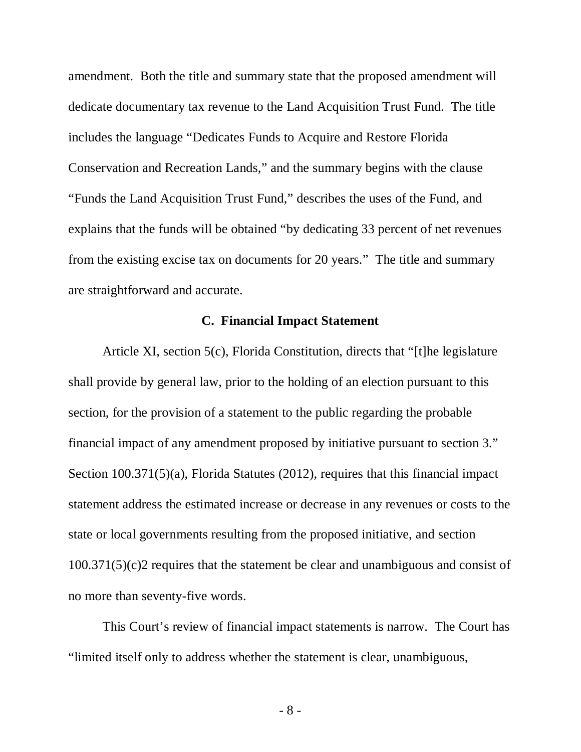amendment. Both the title and summary state that the proposed amendment will dedicate documentary tax revenue to the Land Acquisition Trust Fund. The title includes the language "Dedicates Funds to Acquire and Restore Florida Conservation and Recreation Lands," and the summary begins with the clause "Funds the Land Acquisition Trust Fund," describes the uses of the Fund, and explains that the funds will be obtained "by dedicating 33 percent of net revenues from the existing excise tax on documents for 20 years." The title and summary are straightforward and accurate.

### **C. Financial Impact Statement**

Article XI, section 5(c), Florida Constitution, directs that "[t]he legislature shall provide by general law, prior to the holding of an election pursuant to this section, for the provision of a statement to the public regarding the probable financial impact of any amendment proposed by initiative pursuant to section 3." Section 100.371(5)(a), Florida Statutes (2012), requires that this financial impact statement address the estimated increase or decrease in any revenues or costs to the state or local governments resulting from the proposed initiative, and section 100.371(5)(c)2 requires that the statement be clear and unambiguous and consist of no more than seventy-five words.

This Court's review of financial impact statements is narrow. The Court has "limited itself only to address whether the statement is clear, unambiguous,

- 8 -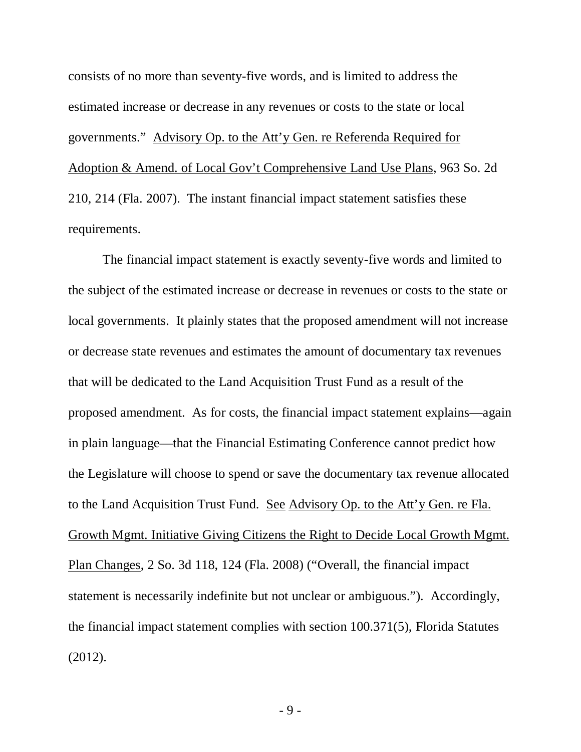consists of no more than seventy-five words, and is limited to address the estimated increase or decrease in any revenues or costs to the state or local governments." Advisory Op. to the Att'y Gen. re Referenda Required for Adoption & Amend. of Local Gov't Comprehensive Land Use Plans, 963 So. 2d 210, 214 (Fla. 2007). The instant financial impact statement satisfies these requirements.

The financial impact statement is exactly seventy-five words and limited to the subject of the estimated increase or decrease in revenues or costs to the state or local governments. It plainly states that the proposed amendment will not increase or decrease state revenues and estimates the amount of documentary tax revenues that will be dedicated to the Land Acquisition Trust Fund as a result of the proposed amendment. As for costs, the financial impact statement explains—again in plain language—that the Financial Estimating Conference cannot predict how the Legislature will choose to spend or save the documentary tax revenue allocated to the Land Acquisition Trust Fund. See Advisory Op. to the Att'y Gen. re Fla. Growth Mgmt. Initiative Giving Citizens the Right to Decide Local Growth Mgmt. Plan Changes, 2 So. 3d 118, 124 (Fla. 2008) ("Overall, the financial impact statement is necessarily indefinite but not unclear or ambiguous."). Accordingly, the financial impact statement complies with section 100.371(5), Florida Statutes (2012).